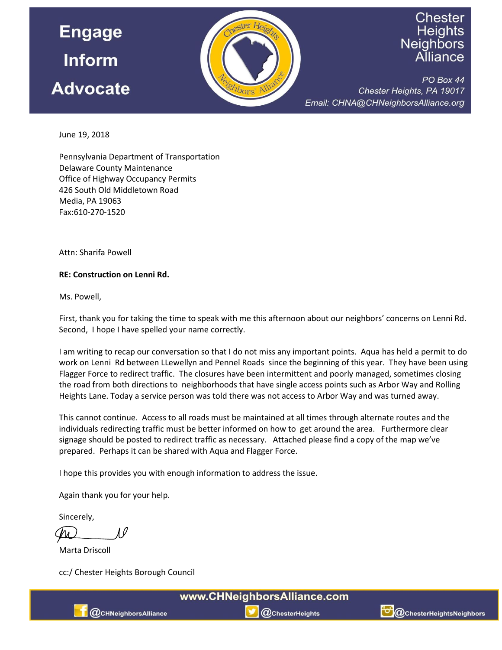

## Chester Heights Neighbors

PO Box 44 Chester Heights, PA 19017 Email: CHNA@CHNeighborsAlliance.org

June 19, 2018

Pennsylvania Department of Transportation **Delaware County Maintenance** Office of Highway Occupancy Permits 426 South Old Middletown Road Media, PA 19063 Fax:610-270-1520

**Attn: Sharifa Powell** 

## RE: Construction on Lenni Rd.

Ms. Powell,

First, thank you for taking the time to speak with me this afternoon about our neighbors' concerns on Lenni Rd. Second, I hope I have spelled your name correctly.

I am writing to recap our conversation so that I do not miss any important points. Aqua has held a permit to do work on Lenni Rd between LLewellyn and Pennel Roads since the beginning of this year. They have been using Flagger Force to redirect traffic. The closures have been intermittent and poorly managed, sometimes closing the road from both directions to neighborhoods that have single access points such as Arbor Way and Rolling Heights Lane. Today a service person was told there was not access to Arbor Way and was turned away.

This cannot continue. Access to all roads must be maintained at all times through alternate routes and the individuals redirecting traffic must be better informed on how to get around the area. Furthermore clear signage should be posted to redirect traffic as necessary. Attached please find a copy of the map we've prepared. Perhaps it can be shared with Aqua and Flagger Force.

I hope this provides you with enough information to address the issue.

Again thank you for your help.

Sincerely,

Marta Driscoll

cc:/ Chester Heights Borough Council



 $@$ ChesterHeights